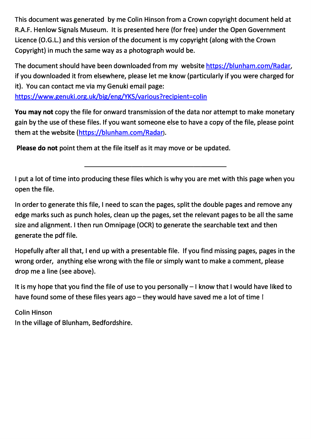This document was generated by me Colin Hinson from a Crown copyright document held at R.A.F. Henlow Signals Museum. It is presented here (for free) under the Open Government Licence (O.G.L.) and this version of the document is my copyright (along with the Crown Copyright) in much the same way as a photograph would be.

The document should have been downloaded from my website https://blunham.com/Radar, if you downloaded it from elsewhere, please let me know (particularly if you were charged for it). You can contact me via my Genuki email page:

https://www.genuki.org.uk/big/eng/YKS/various?recipient=colin

You may not copy the file for onward transmission of the data nor attempt to make monetary gain by the use of these files. If you want someone else to have a copy of the file, please point them at the website (https://blunham.com/Radar).

Please do not point them at the file itself as it may move or be updated.

I put a lot of time into producing these files which is why you are met with this page when you open the file.

In order to generate this file, I need to scan the pages, split the double pages and remove any edge marks such as punch holes, clean up the pages, set the relevant pages to be all the same size and alignment. I then run Omnipage (OCR) to generate the searchable text and then generate the pdf file.

Hopefully after all that, I end up with a presentable file. If you find missing pages, pages in the wrong order, anything else wrong with the file or simply want to make a comment, please drop me a line (see above).

It is my hope that you find the file of use to you personally – I know that I would have liked to have found some of these files years ago – they would have saved me a lot of time !

Colin Hinson In the village of Blunham, Bedfordshire.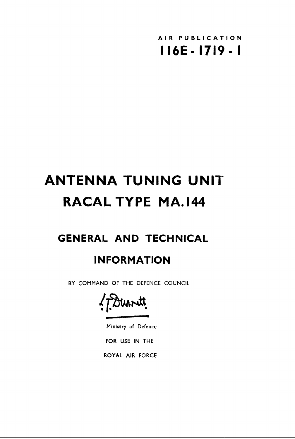

# **ANTENNA TUNING UNIT RACAL TYPE MA.I44**

# **GENERAL AND TECHNICAL**

# **INFORMATION**

BY COMMAND OF THE DEFENCE COUNCIL

?ftrmr4tt.

Ministry of Defence

FOR USE IN THE

ROYAL AIR FORCE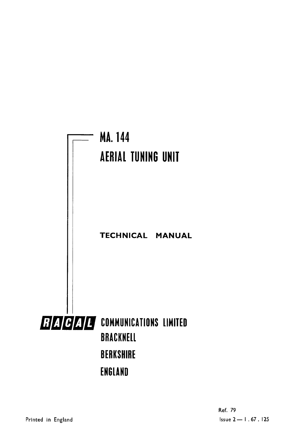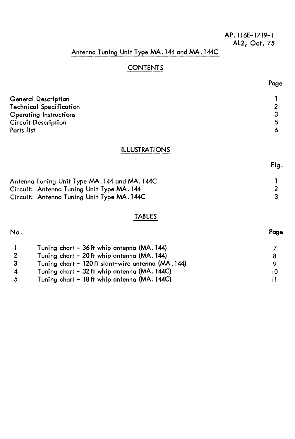#### **AP.116E-1719-1 AL2, Oct. 75**

# **Antenna Tuning Unit Type MA.144 and MA .144C**

# **CONTENTS**

| <b>General Description</b>     |   |
|--------------------------------|---|
| <b>Technical Specification</b> | n |
| <b>Operating Instructions</b>  |   |
| <b>Circuit Description</b>     | Б |
| Parts list                     |   |

#### **ILLUSTRATIONS**

**Fig.** 

**Page** 

| Antenna Tuning Unit Type MA. 144 and MA. 144C |  |
|-----------------------------------------------|--|
| Circuit: Antenna Tuning Unit Type MA. 144     |  |
| Circuit: Antenna Tuning Unit Type MA. 144C    |  |

#### **TABLES**

**No. Page** 

|    | Tuning chart - 36 ft whip antenna (MA. 144)       |    |
|----|---------------------------------------------------|----|
| 2. | Tuning chart - 20 ft whip antenna (MA. 144)       |    |
|    | Tuning chart - 120 ft slant-wire antenna (MA.144) |    |
|    | Tuning chart - 32 ft whip antenna (MA. 144C)      | 10 |
| 5. | Tuning chart - 18 ft whip antenna (MA. 144C)      |    |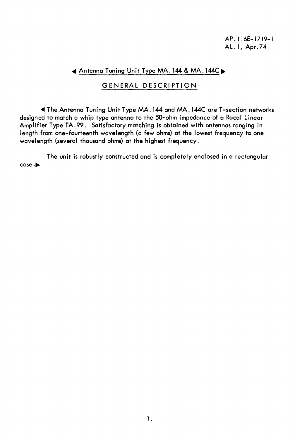AP.116E-1719-1 AL .1, Apr.74

#### **4** Antenna Tuning Unit Type MA.144 & MA .144C►

#### GENERAL DESCRIPTION

**<sup>41</sup>**The Antenna Tuning Unit Type MA.144 and MA.144C are T-section networks designed to match a whip type antenna to the 50-ohm impedance of a Racal Linear Amplifier Type TA.99. Satisfactory matching is obtained with antennas ranging in length from one-fourteenth wavelength (a few ohms) at the lowest frequency to one wavelength (several thousand ohms) at the highest frequency.

The unit is robustly constructed and is completely enclosed in a rectangular case.►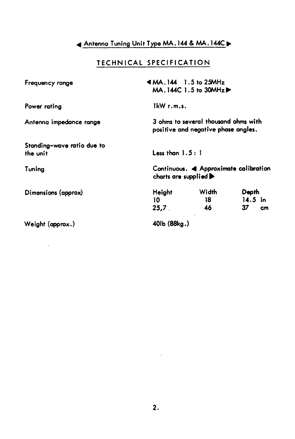# **Antenna Tuning Unit Type MA.144 & MA .144C** ►

# **TECHNICAL SPECIFICATION**

| Frequency range                        |                                           | $AMA.144$ 1.5 to 25MHz<br>$MA.144C1.5$ to $30MHz$ $\blacktriangleright$     |                    |
|----------------------------------------|-------------------------------------------|-----------------------------------------------------------------------------|--------------------|
| Power rating                           | $1 \text{kW r.m.s.}$                      |                                                                             |                    |
| Antenna impedance range                |                                           | 3 ohms to several thousand ohms with<br>positive and negative phase angles. |                    |
| Standing-wave ratio due to<br>the unit | Less than $1.5:1$                         |                                                                             |                    |
| Tuning                                 | charts are supplied $\blacktriangleright$ | Continuous. < Approximate calibration                                       |                    |
| Dimensions (approx)                    | <b>Height</b>                             | Width                                                                       | Depth<br>$14.5$ in |
|                                        | 10<br>25,7                                | 18.<br>46                                                                   | 37<br>cm           |
| Weight (approx.)                       | 40lb (88kg.)                              |                                                                             |                    |

 $\sim 10^{-11}$ 

 $\mathcal{A}^{\mathrm{c}}$  and  $\mathcal{A}^{\mathrm{c}}$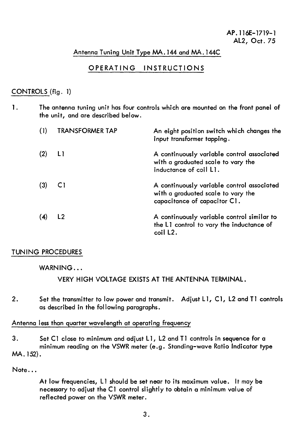#### **Antenna Tuning Unit Type MA.144 and MA.144C**

#### **OPERATING INSTRUCTIONS**

#### **CONTROLS (fig. 1)**

**1. The antenna tuning unit has four controls which are mounted on the front panel of the unit, and are described below.** 

| (1) | <b>TRANSFORMER TAP</b>  | An eight position switch which changes the<br>input transformer tapping.                                         |
|-----|-------------------------|------------------------------------------------------------------------------------------------------------------|
| (2) | $\lfloor \cdot \rfloor$ | A continuously variable control associated<br>with a graduated scale to vary the<br>inductance of coil L1.       |
| (3) | C1                      | A continuously variable control associated<br>with a graduated scale to vary the<br>capacitance of capacitor C1. |
| (4) | L <sub>2</sub>          | A continuously variable control similar to<br>the L1 control to vary the inductance of<br>coil L <sub>2</sub> .  |

#### **TUNING PROCEDURES**

#### **WARNING...**

**VERY HIGH VOLTAGE EXISTS AT THE ANTENNA TERMINAL.** 

**2. Set the transmitter to low power and transmit. Adjust LI, Cl, L2 and T1 controls as described in the following paragraphs.** 

#### **Antenna less than quarter wavelength at operating frequency**

**3. Set Cl close to minimum and adjust LI, L2 and T1 controls in sequence for a minimum reading on the VSWR meter (e.g. Standing-wave Ratio Indicator type MA. 152).** 

**Note...** 

**At low frequencies, LI should be set near to its maximum value. It may be necessary to adjust the CI control slightly to obtain a minimum value of reflected power on the VSWR meter.**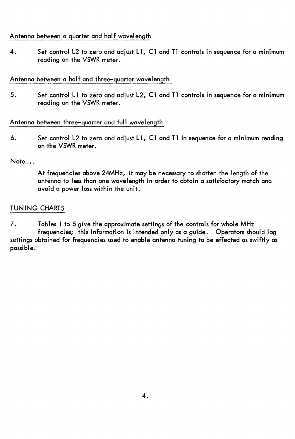#### **Antenna between a quarter and half wavelength**

**4. Set control L2 to zero and adjust Ll, Cl and T1 controls in sequence for a minimum reading on the VSWR meter.** 

#### **Antenna between a half and three-quarter wavelength**

5. Set control L1 to zero and adjust L2, C1 and T1 controls in sequence for a minimum **reading on the VSWR meter.** 

#### **Antenna between three-quarter and full wavelength**

**6. Set control L2 to zero and adjust LI, Cl and Ti in sequence for a minimum reading on the VSWR meter.** 

#### **Note...**

**At frequencies above 24MHz, it may be necessary to shorten the length of the antenna to less than one wavelength in order to obtain a satisfactory match and avoid a power loss within the unit.** 

#### **TUNING CHARTS**

**7. Tables 1 to 5 give the approximate settings of the controls for whole MHz frequencies; this information is intended only as a guide. Operators should log settings obtained for frequencies used to enable antenna tuning to be effected as swiftly as possible.**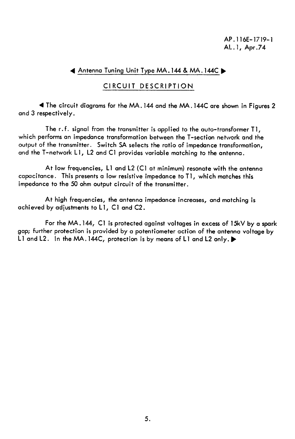**AP.116E-1719-1 AL. I, Apr.74** 

#### **4 Antenna Tuning Unit Type MA.144 & MA .144C** ►

#### **CIRCUIT DESCRIPTION**

**4 The circuit diagrams for the MA. 144 and the MA.144C are shown in Figures 2 and 3 respectively.** 

**The r.f. signal from the transmitter is applied to the auto-transformer TI, which performs an impedance transformation between the T-section network and the output of the transmitter. Switch SA selects the ratio of impedance transformation, and the T-network LI, L2 and Cl provides variable matching to the antenna.** 

**At low frequencies, LI and L2 (Cl at minimum) resonate with the antenna capacitance. This presents a low resistive impedance to T1, which matches this impedance to the 50 ohm output circuit of the transmitter.** 

**At high frequencies, the antenna impedance increases, and matching is achieved by adjustments to LI, Cl and C2.** 

**For the MA.144, Cl is protected against voltages in excess of 15kV by a spark gap; further protection is provided by a potentiometer action of the antenna voltage by Ll and L2. In the MA. 144C, protection is by means of LI and L2 only.** ►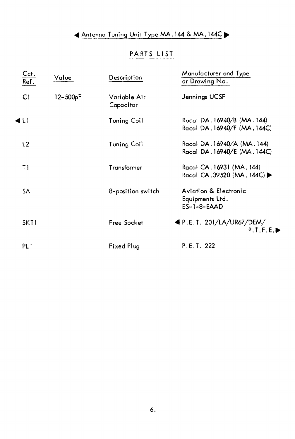# **4 Antenna Tuning Unit Type MA.144 & MA .144C 10,**

# **PARTS LIST**

| Cct.<br>$\overline{\mathsf{Ref.}}$ | Value    | Description               | Manufacturer and Type<br>or Drawing No.                              |
|------------------------------------|----------|---------------------------|----------------------------------------------------------------------|
| C1                                 | 12-500pF | Variable Air<br>Capacitor | Jennings UCSF                                                        |
| 4L1                                |          | <b>Tuning Coil</b>        | Racal DA. 16940/B (MA. 144)<br>Racal DA. 16940/F (MA. 144C)          |
| L2                                 |          | <b>Tuning Coil</b>        | Racal DA. 16940/A (MA. 144)<br>Racal DA.16940/E (MA.144C)            |
| T1                                 |          | Transformer               | Racal CA. 16931 (MA. 144)<br>Racal CA.39520 (MA.144C) ▶              |
| <b>SA</b>                          |          | 8-position switch         | <b>Aviation &amp; Electronic</b><br>Equipments Ltd.<br>$ES-1-8-EAAD$ |
| SKT1                               |          | Free Socket               | $\blacktriangleleft$ P.E.T. 201/LA/UR67/DEM/<br>P.T.F.E.             |
| PL <sub>1</sub>                    |          | Fixed Plug                | P.E.T. 222                                                           |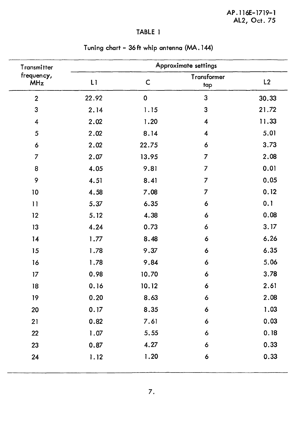| Transmitter              |       |              | Approximate settings    |       |
|--------------------------|-------|--------------|-------------------------|-------|
| frequency,<br><b>MHz</b> | L1    | $\mathsf{C}$ | Transformer<br>tap      | L2    |
| $\overline{2}$           | 22.92 | $\mathbf 0$  | 3                       | 30.33 |
| 3                        | 2.14  | 1.15         | 3                       | 21.72 |
| $\overline{\mathbf{4}}$  | 2.02  | 1.20         | $\boldsymbol{4}$        | 11.33 |
| 5                        | 2.02  | 8.14         | $\overline{\mathbf{4}}$ | 5.01  |
| 6                        | 2.02  | 22.75        | 6                       | 3.73  |
| $\overline{7}$           | 2.07  | 13.95        | $\overline{7}$          | 2.08  |
| 8                        | 4.05  | 9.81         | $\overline{7}$          | 0.01  |
| 9                        | 4.51  | 8.41         | 7                       | 0.05  |
| 10                       | 4.58  | 7.08         | $\overline{7}$          | 0.12  |
| 11                       | 5.37  | 6.35         | 6                       | 0.1   |
| 12                       | 5.12  | 4.38         | 6                       | 0.08  |
| 13                       | 4.24  | 0.73         | 6                       | 3.17  |
| 14                       | 1.77  | 8.48         | 6                       | 6.26  |
| 15                       | 1.78  | 9.37         | 6                       | 6.35  |
| 16                       | 1.78  | 9.84         | 6                       | 5.06  |
| 17                       | 0.98  | 10.70        | 6                       | 3.78  |
| 18                       | 0.16  | 10.12        | 6                       | 2.61  |
| 19                       | 0.20  | 8.63         | 6                       | 2.08  |
| 20                       | 0.17  | 8.35         | 6                       | 1.03  |
| 21                       | 0.82  | 7.61         | 6                       | 0.03  |
| 22                       | 1.07  | 5.55         | $\boldsymbol{6}$        | 0.18  |
| 23                       | 0.87  | 4.27         | 6                       | 0.33  |
| 24                       | 1.12  | 1.20         | $\boldsymbol{6}$        | 0.33  |

# **Tuning chart - 36 ft whip antenna (MA. 144)**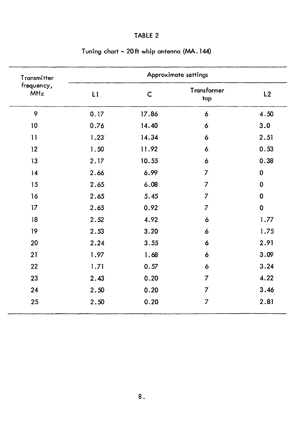| Transmitter              |      |             | Approximate settings      |             |
|--------------------------|------|-------------|---------------------------|-------------|
| frequency,<br><b>MHz</b> | L1   | $\mathsf C$ | <b>Transformer</b><br>tap | L2          |
| 9                        | 0.17 | 17.86       | 6                         | 4.50        |
| 10                       | 0.76 | 14.40       | 6                         | 3.0         |
| 11                       | 1.23 | 14.34       | 6                         | 2.51        |
| 12                       | 1.50 | 11.92       | 6                         | 0.53        |
| 13                       | 2.17 | 10.55       | 6                         | 0.38        |
| 14                       | 2.66 | 6.99        | $\overline{7}$            | $\mathbf 0$ |
| 15                       | 2.65 | 6.08        | $\overline{7}$            | 0           |
| 16                       | 2.65 | 5.45        | 7                         | $\mathbf 0$ |
| 17                       | 2.65 | 0.92        | 7                         | $\mathbf 0$ |
| 18                       | 2.52 | 4.92        | 6                         | 1.77        |
| 19                       | 2.53 | 3.20        | 6                         | 1.75        |
| 20                       | 2.24 | 3.55        | 6                         | 2.91        |
| 21                       | 1.97 | 1.68        | 6                         | 3.09        |
| 22                       | 1.71 | 0.57        | 6                         | 3.24        |
| 23                       | 2.43 | 0.20        | $\overline{7}$            | 4.22        |
| 24                       | 2.50 | 0.20        | $\overline{7}$            | 3.46        |
| 25                       | 2.50 | 0.20        | $\overline{7}$            | 2.81        |

#### **Tuning chart - 20ft whip antenna (MA.144)**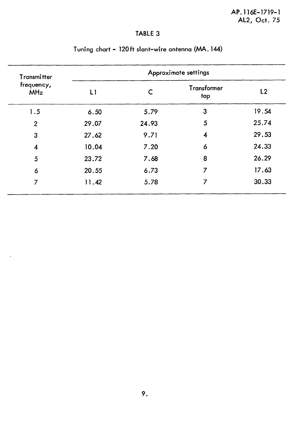| Transmitter<br>frequency,<br><b>MHz</b> |       |       | Approximate settings    |       |
|-----------------------------------------|-------|-------|-------------------------|-------|
|                                         | LI    | C     | Transformer<br>tap      | L2    |
| 1.5                                     | 6.50  | 5.79  | 3                       | 19.54 |
| $\overline{2}$                          | 29.07 | 24.93 | 5                       | 25.74 |
| 3                                       | 27.62 | 9.71  | $\overline{\mathbf{4}}$ | 29.53 |
| 4                                       | 10.04 | 7.20  | 6                       | 24.33 |
| 5                                       | 23.72 | 7.68  | 8                       | 26.29 |
| 6                                       | 20.55 | 6.73  | 7                       | 17.63 |
| 7                                       | 11.42 | 5.78  | 7                       | 30.33 |

 $\bar{\mathbf{r}}$ 

# **Tuning chart - 120ft slant-wire antenna (MA. 144)**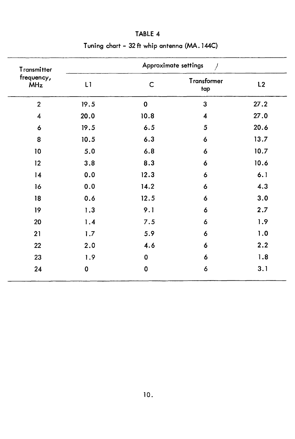| Transmitter              |             |             | Approximate settings<br>J |      |
|--------------------------|-------------|-------------|---------------------------|------|
| frequency,<br><b>MHz</b> | L1          | $\mathsf C$ | <b>Transformer</b><br>tap | L2   |
| $\overline{2}$           | 19.5        | $\mathbf 0$ | $\overline{3}$            | 27.2 |
| $\overline{\mathbf{4}}$  | 20.0        | 10.8        | $\overline{\mathbf{4}}$   | 27.0 |
| 6                        | 19.5        | 6.5         | 5                         | 20.6 |
| 8                        | 10.5        | 6.3         | 6                         | 13.7 |
| 10                       | 5.0         | 6.8         | 6                         | 10.7 |
| 12                       | 3.8         | 8.3         | 6                         | 10.6 |
| 14                       | 0.0         | 12.3        | 6                         | 6.1  |
| 16                       | 0.0         | 14.2        | 6                         | 4.3  |
| 18                       | 0.6         | 12.5        | 6                         | 3.0  |
| 19                       | 1.3         | 9.1         | 6                         | 2.7  |
| 20                       | 1.4         | 7.5         | 6                         | 1.9  |
| 21                       | 1.7         | 5.9         | 6                         | 1.0  |
| 22                       | 2.0         | 4.6         | 6                         | 2.2  |
| 23                       | 1.9         | $\mathbf 0$ | 6                         | 1.8  |
| 24                       | $\mathbf 0$ | $\mathbf 0$ | 6                         | 3.1  |

# **Tuning chart - 32 ft whip antenna (MA. 144C)**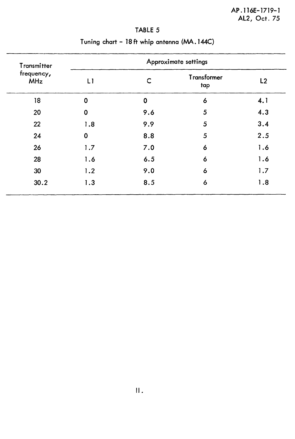| Transmitter<br>frequency,<br><b>MHz</b> |             |             | Approximate settings |     |
|-----------------------------------------|-------------|-------------|----------------------|-----|
|                                         | L1          | C           | Transformer<br>tap   | L2  |
| 18                                      | $\mathbf 0$ | $\mathbf 0$ | 6                    | 4.1 |
| 20                                      | $\mathbf 0$ | 9.6         | 5                    | 4.3 |
| 22                                      | 1.8         | 9.9         | 5                    | 3.4 |
| 24                                      | $\mathbf 0$ | 8.8         | 5                    | 2.5 |
| 26                                      | 1.7         | 7.0         | 6                    | 1.6 |
| 28                                      | 1.6         | 6.5         | 6                    | 1.6 |
| 30                                      | 1.2         | 9.0         | 6                    | 1.7 |
| 30.2                                    | 1.3         | 8.5         | 6                    | 1.8 |

# **Tuning chart - 18ft whip antenna (MA.144C)**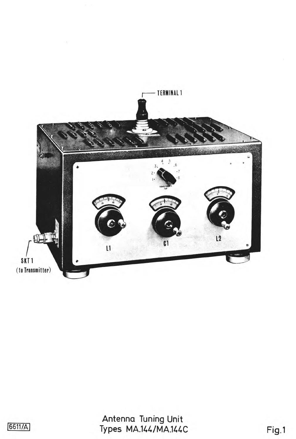

 $\sim 1$ 



Antenna Tuning Unit 6611/A) Types MA.144/MA.144C Fig.1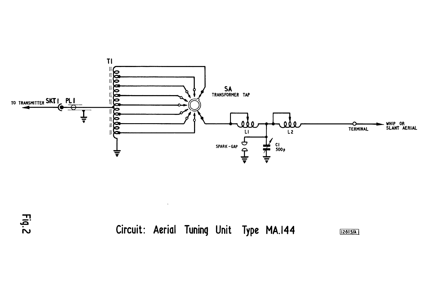



**Circuit: Aerial Tuning Unit Type MA.I44 12615/A**